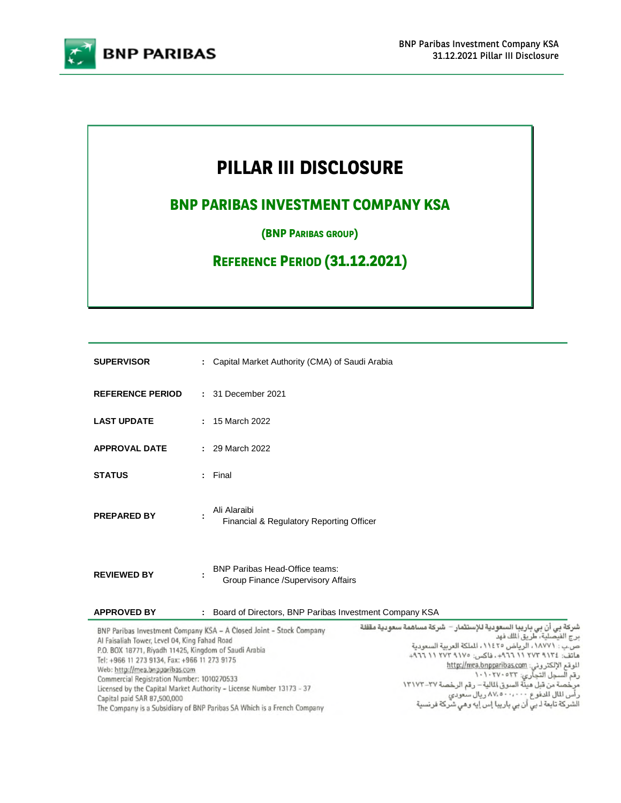

# **PILLAR III DISCLOSURE**

# **BNP PARIBAS INVESTMENT COMPANY KSA**

**(BNP PARIBAS GROUP)** 

**REFERENCE PERIOD (31.12.2021)**

| <b>SUPERVISOR</b>       | : Capital Market Authority (CMA) of Saudi Arabia                            |  |
|-------------------------|-----------------------------------------------------------------------------|--|
| <b>REFERENCE PERIOD</b> | : 31 December 2021                                                          |  |
| <b>LAST UPDATE</b>      | : 15 March 2022                                                             |  |
| <b>APPROVAL DATE</b>    | : 29 March 2022                                                             |  |
| <b>STATUS</b>           | Final<br>÷.                                                                 |  |
| <b>PREPARED BY</b>      | Ali Alaraibi<br>Financial & Regulatory Reporting Officer                    |  |
| <b>REVIEWED BY</b>      | <b>BNP Paribas Head-Office teams:</b><br>Group Finance /Supervisory Affairs |  |
| <b>APPROVED BY</b>      | Board of Directors, BNP Paribas Investment Company KSA<br>÷                 |  |

| BNP Paribas Investment Company KSA - A Closed Joint - Stock Company     | ئىركة بى أن بى باريبا السعودية للإستثمار – شركة مساهمة سعودية مقفلة |
|-------------------------------------------------------------------------|---------------------------------------------------------------------|
| Al Faisaliah Tower, Level 04, King Fahad Road                           | برج القيصلية، طريق الملك فهد                                        |
| P.O. BOX 18771, Riyadh 11425, Kingdom of Saudi Arabia                   | ص.ب : ١٨٧٧١ ، الرياض ١١٤٢٥ ، الملكة العربية السعودية                |
| Tel: +966 11 273 9134, Fax: +966 11 273 9175                            | ماتف: ١٢٧٤ ٢٧٢ ١١ ٩٦٦م، فاكس: ١٧٧٥ ٢٧٢ ١١ ٩٦٦                       |
| Web: http://mea.bnpparibas.com                                          | للوقم الإلكترونى: http://mea.bnpparibas.com                         |
| Commercial Registration Number: 1010270533                              | رقم السجل التجاري: ١٠١٠٢٧٠٥٣٣                                       |
| Licensed by the Capital Market Authority - License Number 13173 - 37    | مرخصة من قبل هيئة السوق المالية – رقم الرخصة ٢٧-١٣١٧٢               |
| Capital paid SAR 87,500,000                                             | رأس المال للدفوع ٨٧،٥٠٠،٠٠٠ ريال سعودي                              |
| The Company is a Subsidiary of BNP Paribas SA Which is a French Company | الشركة تابعة اـ بى أن بى باريبا إس إيه وهى شركة فرنسية              |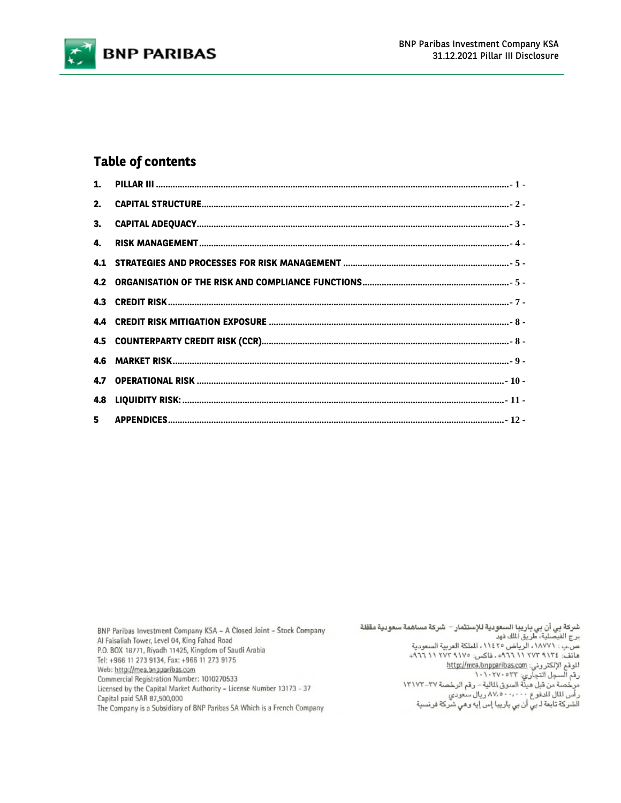

### **Table of contents**

BNP Paribas Investment Company KSA - A Closed Joint - Stock Company Al Faisaliah Tower, Level 04, King Fahad Road P.O. BOX 18771, Riyadh 11425, Kingdom of Saudi Arabia Tel: +966 11 273 9134, Fax: +966 11 273 9175 Web: http://mea.bnpparibas.com Commercial Registration Number: 1010270533 Licensed by the Capital Market Authority - License Number 13173 - 37 Capital paid SAR 87,500,000 The Company is a Subsidiary of BNP Paribas SA Which is a French Company

شركة بي أن بي باريبا السعودية للإستثمار – شركة مساهمة سعودية مقفلة<br>برج القيصلية، طريق الملك فهد<br>ص.ب : ١٨٧٧١، الرياض ١١٤٢٥، الملكة العربية السعودية<br>هاتف: ١٢٧٢ ١١٢ ١٩٦٦ الحجم. فاكس: ١٢٧٥ ١١ ١٦٦٦ + الموقع الإلكتروني: <u>http://mea.bnpparibas.com</u><br>رقم السجل التجاري: ١٠١٠٢٧٠٥٢٢ سم<br>مرخصة من قبل هيئة السوق المالية – رقم الرخصة ٢٧–١٣١٧٢<br>رأس المال للدفوع ٨٧،٥٠٠،٠٠٠ ريال سعودي<br>الشركة تابعة لـ بي أن بي باريبا إس إيه وهي شركة فرنسية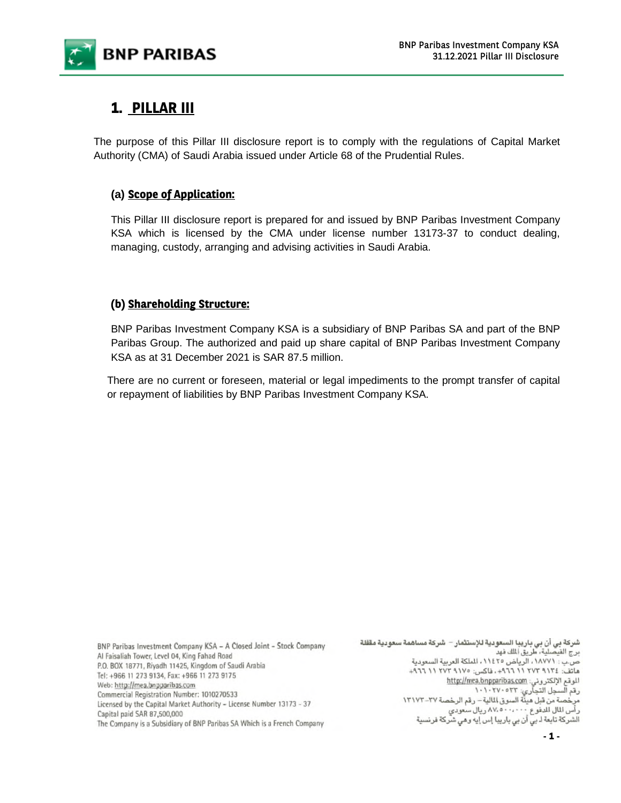

# **1. PILLAR III**

The purpose of this Pillar III disclosure report is to comply with the regulations of Capital Market Authority (CMA) of Saudi Arabia issued under Article 68 of the Prudential Rules.

### **(a) Scope of Application:**

This Pillar III disclosure report is prepared for and issued by BNP Paribas Investment Company KSA which is licensed by the CMA under license number 13173-37 to conduct dealing, managing, custody, arranging and advising activities in Saudi Arabia.

### **(b) Shareholding Structure:**

BNP Paribas Investment Company KSA is a subsidiary of BNP Paribas SA and part of the BNP Paribas Group. The authorized and paid up share capital of BNP Paribas Investment Company KSA as at 31 December 2021 is SAR 87.5 million.

There are no current or foreseen, material or legal impediments to the prompt transfer of capital or repayment of liabilities by BNP Paribas Investment Company KSA.

BNP Paribas Investment Company KSA - A Closed Joint - Stock Company Al Faisaliah Tower, Level 04, King Fahad Road P.O. BOX 18771, Riyadh 11425, Kingdom of Saudi Arabia Tel: +966 11 273 9134, Fax: +966 11 273 9175 Web: http://mea.bnpparibas.com Commercial Registration Number: 1010270533 Licensed by the Capital Market Authority - License Number 13173 - 37 Capital paid SAR 87,500,000 The Company is a Subsidiary of BNP Paribas SA Which is a French Company

شركة بي أن بي باريبا السعودية للإستثمار – شركة مساهمة سعودية مقفلة برج الفيصلية، طريق الملك فهد ص.ب : ١٨٧٧١، الرياض ١١٤٢٥، الملكة العربية السعودية ماتف: ١٢٧٤ ٢٧٢ ١١ ٢٦٦+، فاكس: ١٧٥٥ ٢٧٢ ١١ ١٩٦٦+ الموقع الإلكتروني: http://mea.bnpparibas.com رقم السجل التجاري: ١٠٢٧٠٥٢٣<br>مرخصة من قبل هيئة السوق المالية – رقم الرخصة ٢٧–١٣١٧٢ رأس المال للدفوع ٨٧.٥٠٠،٠٠٠ ريال سعودي<br>الشركة تابعة لـ بي أن بي باريبا إس إيه وهي شركة فرنسية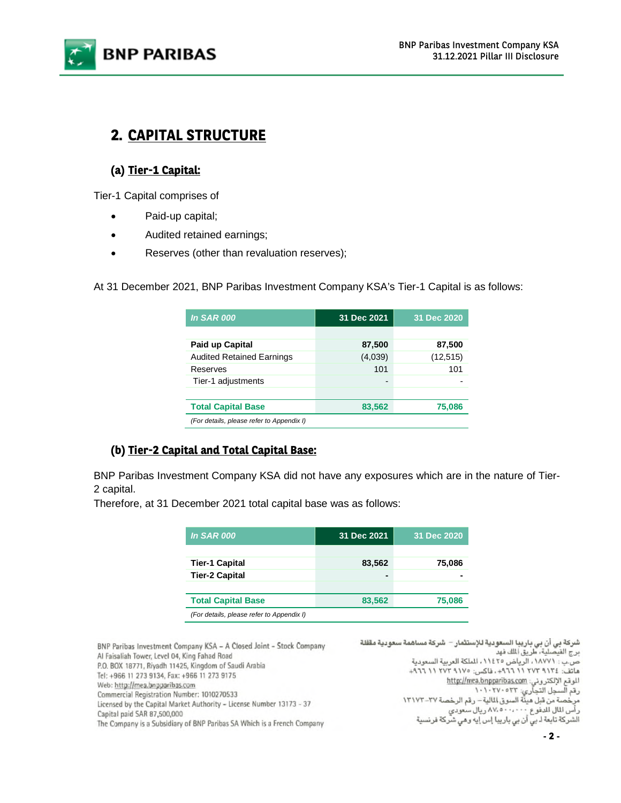

# **2. CAPITAL STRUCTURE**

### **(a) Tier-1 Capital:**

Tier-1 Capital comprises of

- Paid-up capital;
- Audited retained earnings;
- Reserves (other than revaluation reserves);

At 31 December 2021, BNP Paribas Investment Company KSA's Tier-1 Capital is as follows:

| <b>In SAR 000</b>                         | 31 Dec 2021 | 31 Dec 2020 |
|-------------------------------------------|-------------|-------------|
|                                           |             |             |
| Paid up Capital                           | 87,500      | 87,500      |
| <b>Audited Retained Earnings</b>          | (4,039)     | (12, 515)   |
| Reserves                                  | 101         | 101         |
| Tier-1 adjustments                        |             |             |
|                                           |             |             |
| <b>Total Capital Base</b>                 | 83,562      | 75,086      |
| (For details, please refer to Appendix I) |             |             |

### **(b) Tier-2 Capital and Total Capital Base:**

BNP Paribas Investment Company KSA did not have any exposures which are in the nature of Tier-2 capital.

Therefore, at 31 December 2021 total capital base was as follows:

| <b>In SAR 000</b>                         | 31 Dec 2021 | 31 Dec 2020 |
|-------------------------------------------|-------------|-------------|
|                                           |             |             |
| <b>Tier-1 Capital</b>                     | 83,562      | 75,086      |
| <b>Tier-2 Capital</b>                     | -           |             |
|                                           |             |             |
| <b>Total Capital Base</b>                 | 83,562      | 75,086      |
| (For details, please refer to Appendix I) |             |             |

شركة بي أن بي باريبا السعودية للإستثمار – شركة مساهمة سعودية مقفلة BNP Paribas Investment Company KSA - A Closed Joint - Stock Company برج الفيصلية، طريق الملك فهد Al Faisaliah Tower, Level 04, King Fahad Road ص.ب : ١٨٧٧١، الرياض ١١٤٢٥، الملكة العربية السعودية P.O. BOX 18771, Riyadh 11425, Kingdom of Saudi Arabia ماتف: ٢٧٢ ٢١٢ ٢٧٢ ١١ ٩٦٦٢+، فاكس: ١٧٥ ٢٧٢ ١١ ٩٦٦ ٩١٠ Tel: +966 11 273 9134, Fax: +966 11 273 9175 الموقع الإلكتروني: http://mea.bnpparibas.com Web: http://mea.bnpparibas.com رقم السجل التجاري: ١٠٢٧٠٥٢٣<br>مرخصة من قبل هيئة السوق المالية – رقم الرخصة ٢٧–١٣١٧٢ Commercial Registration Number: 1010270533 Licensed by the Capital Market Authority - License Number 13173 - 37 رأس المال للدفوع ٨٧.٥٠٠،٠٠٠ ريال سعودي<br>الشركة تابعة لـ بي أن بي باريبا إس إيه وهي شركة فرنسية Capital paid SAR 87,500,000 The Company is a Subsidiary of BNP Paribas SA Which is a French Company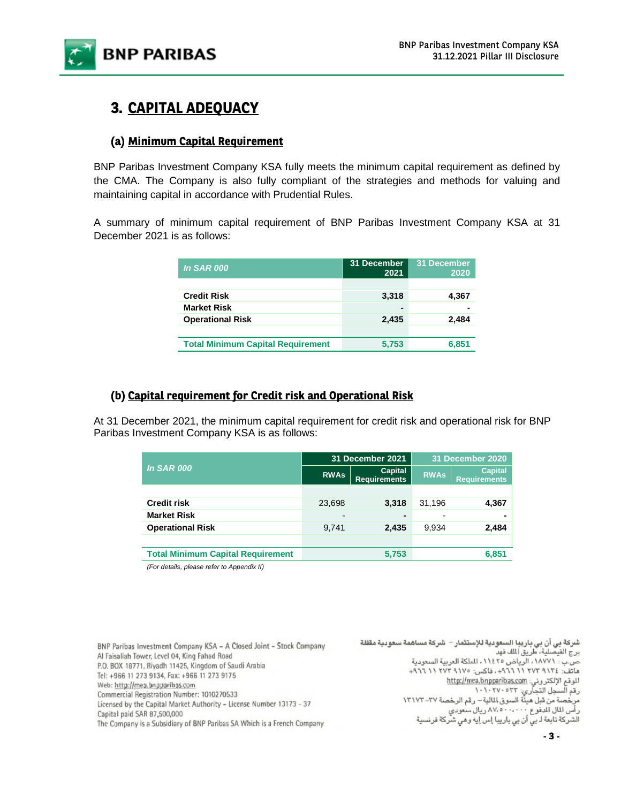

# **3. CAPITAL ADEQUACY**

### **(a) Minimum Capital Requirement**

BNP Paribas Investment Company KSA fully meets the minimum capital requirement as defined by the CMA. The Company is also fully compliant of the strategies and methods for valuing and maintaining capital in accordance with Prudential Rules.

A summary of minimum capital requirement of BNP Paribas Investment Company KSA at 31 December 2021 is as follows:

| <b>In SAR 000</b>                        | 31 December<br>2021 | 31 December<br>2020 |
|------------------------------------------|---------------------|---------------------|
|                                          |                     |                     |
| <b>Credit Risk</b>                       | 3,318               | 4,367               |
| <b>Market Risk</b>                       |                     |                     |
| <b>Operational Risk</b>                  | 2.435               | 2.484               |
|                                          |                     |                     |
| <b>Total Minimum Capital Requirement</b> | 5.753               | 6,851               |

### **(b) Capital requirement for Credit risk and Operational Risk**

At 31 December 2021, the minimum capital requirement for credit risk and operational risk for BNP Paribas Investment Company KSA is as follows:

|                                          | 31 December 2021         |                                       | 31 December 2020 |                                       |
|------------------------------------------|--------------------------|---------------------------------------|------------------|---------------------------------------|
| <b>In SAR 000</b>                        | <b>RWAs</b>              | <b>Capital</b><br><b>Requirements</b> | <b>RWAs</b>      | <b>Capital</b><br><b>Requirements</b> |
|                                          |                          |                                       |                  |                                       |
| <b>Credit risk</b>                       | 23,698                   | 3,318                                 | 31,196           | 4,367                                 |
| <b>Market Risk</b>                       | $\overline{\phantom{0}}$ |                                       |                  |                                       |
| <b>Operational Risk</b>                  | 9.741                    | 2,435                                 | 9.934            | 2,484                                 |
|                                          |                          |                                       |                  |                                       |
| <b>Total Minimum Capital Requirement</b> |                          | 5,753                                 |                  | 6,851                                 |
|                                          |                          |                                       |                  |                                       |

*(For details, please refer to Appendix II)*

BNP Paribas Investment Company KSA - A Closed Joint - Stock Company Al Faisaliah Tower, Level 04, King Fahad Road P.O. BOX 18771, Riyadh 11425, Kingdom of Saudi Arabia Tel: +966 11 273 9134, Fax: +966 11 273 9175 Web: http://mea.bnpparibas.com Commercial Registration Number: 1010270533 Licensed by the Capital Market Authority - License Number 13173 - 37 Capital paid SAR 87,500,000 The Company is a Subsidiary of BNP Paribas SA Which is a French Company

شركة بي أن بي باريبا السعودية للإستثمار – شركة مساهمة سعودية مقفلة برج الفيصلية، طريق الملك فهد ص.ب : ١٨٧٧١، الرياض ١١٤٢٥، الملكة العربية السعودية ماتف: ٢٧٢ ٢١٢ ٢١٦ ٢٩٦٦، فاكس: ١٧٥ ٢٧٢ ١١ ٢٧٦ + ٢٩٦٦ الموقع الإلكتروني: http://mea.bnpparibas.com رقم السجل التجاري: ۱۰۱۰۲۷۰۰۲۳<br>مرخصة من قبل هيئة السوق المالية – رقم الرخصة ۲۷–۱۳۱۷۲ رأس المال للدفوع ٨٧.٥٠٠،٠٠٠ ريال سعودي<br>الشركة تابعة لـ بي أن بي باريبا إس إيه وهي شركة فرنسية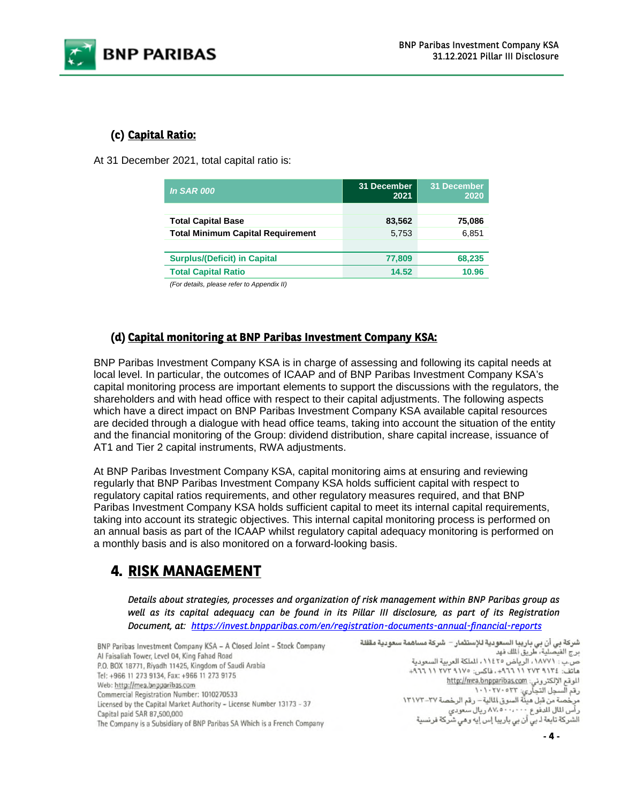

### **(c) Capital Ratio:**

At 31 December 2021, total capital ratio is:

| <b>In SAR 000</b>                        | 31 December<br>2021 | 31 December<br>2020 |
|------------------------------------------|---------------------|---------------------|
|                                          |                     |                     |
| <b>Total Capital Base</b>                | 83,562              | 75,086              |
| <b>Total Minimum Capital Requirement</b> | 5,753               | 6,851               |
|                                          |                     |                     |
| <b>Surplus/(Deficit) in Capital</b>      | 77,809              | 68,235              |
| <b>Total Capital Ratio</b>               | 14.52               | 10.96               |

*(For details, please refer to Appendix II)*

### **(d) Capital monitoring at BNP Paribas Investment Company KSA:**

BNP Paribas Investment Company KSA is in charge of assessing and following its capital needs at local level. In particular, the outcomes of ICAAP and of BNP Paribas Investment Company KSA's capital monitoring process are important elements to support the discussions with the regulators, the shareholders and with head office with respect to their capital adjustments. The following aspects which have a direct impact on BNP Paribas Investment Company KSA available capital resources are decided through a dialogue with head office teams, taking into account the situation of the entity and the financial monitoring of the Group: dividend distribution, share capital increase, issuance of AT1 and Tier 2 capital instruments, RWA adjustments.

At BNP Paribas Investment Company KSA, capital monitoring aims at ensuring and reviewing regularly that BNP Paribas Investment Company KSA holds sufficient capital with respect to regulatory capital ratios requirements, and other regulatory measures required, and that BNP Paribas Investment Company KSA holds sufficient capital to meet its internal capital requirements, taking into account its strategic objectives. This internal capital monitoring process is performed on an annual basis as part of the ICAAP whilst regulatory capital adequacy monitoring is performed on a monthly basis and is also monitored on a forward-looking basis.

# **4. RISK MANAGEMENT**

*Details about strategies, processes and organization of risk management within BNP Paribas group as well as its capital adequacy can be found in its Pillar III disclosure, as part of its Registration Document, at: https://invest.bnpparibas.com/en/registration-documents-annual-financial-reports*

BNP Paribas Investment Company KSA - A Closed Joint - Stock Company Al Faisaliah Tower, Level 04, King Fahad Road P.O. BOX 18771, Riyadh 11425, Kingdom of Saudi Arabia Tel: +966 11 273 9134, Fax: +966 11 273 9175 Web: http://mea.bnpparibas.com Commercial Registration Number: 1010270533 Licensed by the Capital Market Authority - License Number 13173 - 37 Capital paid SAR 87,500,000 The Company is a Subsidiary of BNP Paribas SA Which is a French Company

شركة بي أن بي باريبا السعودية للإستثمار – شركة مساهمة سعودية مقفلة برج الفيصلية، طريق الملك فهد ص.ب : ١٨٧٧١، الرياض ١١٤٢٥، الملكة العربية السعودية هاتف: ١٢٧٤ ٢٧٢ ١١ ١٩٦٦+، فاكس: ١٧٥ ٢٧٢ ١١ ١٩٦٦+ الموقع الإلكتروني: http://mea.bnpparibas.com رقم السجل التجاري: ۱۰۱۰۲۷۰۰۲۳<br>مرخصة من قبل هيئة السوق المالية – رقم الرخصة ۲۷–۱۳۱۷۲ رأس المال الدفوع ٨٧،٠٠٠٠٠٠ .<br>الشركة تابعة لـ بي أن بي باريبا إس إيه وهي شركة فرنسية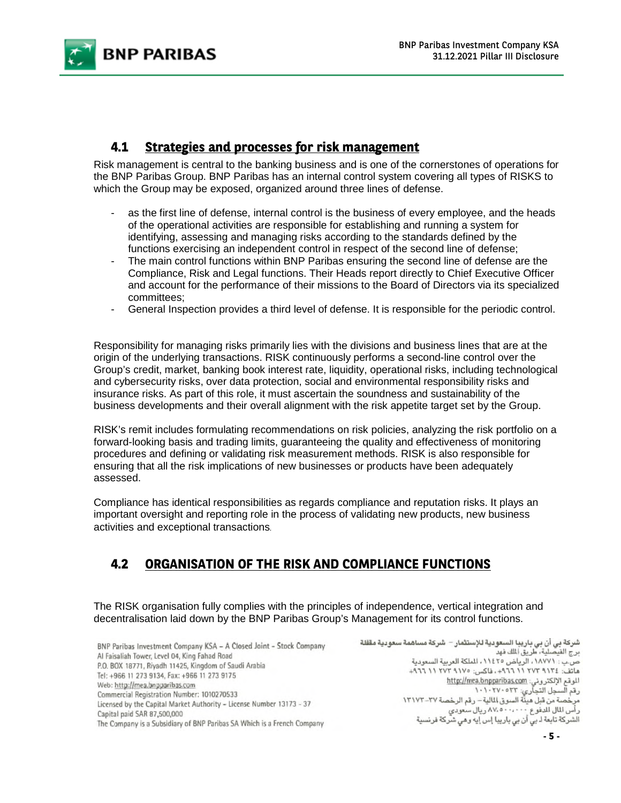

### **4.1 Strategies and processes for risk management**

Risk management is central to the banking business and is one of the cornerstones of operations for the BNP Paribas Group. BNP Paribas has an internal control system covering all types of RISKS to which the Group may be exposed, organized around three lines of defense.

- as the first line of defense, internal control is the business of every employee, and the heads of the operational activities are responsible for establishing and running a system for identifying, assessing and managing risks according to the standards defined by the functions exercising an independent control in respect of the second line of defense;
- The main control functions within BNP Paribas ensuring the second line of defense are the Compliance, Risk and Legal functions. Their Heads report directly to Chief Executive Officer and account for the performance of their missions to the Board of Directors via its specialized committees;
- General Inspection provides a third level of defense. It is responsible for the periodic control.

Responsibility for managing risks primarily lies with the divisions and business lines that are at the origin of the underlying transactions. RISK continuously performs a second-line control over the Group's credit, market, banking book interest rate, liquidity, operational risks, including technological and cybersecurity risks, over data protection, social and environmental responsibility risks and insurance risks. As part of this role, it must ascertain the soundness and sustainability of the business developments and their overall alignment with the risk appetite target set by the Group.

RISK's remit includes formulating recommendations on risk policies, analyzing the risk portfolio on a forward-looking basis and trading limits, guaranteeing the quality and effectiveness of monitoring procedures and defining or validating risk measurement methods. RISK is also responsible for ensuring that all the risk implications of new businesses or products have been adequately assessed.

Compliance has identical responsibilities as regards compliance and reputation risks. It plays an important oversight and reporting role in the process of validating new products, new business activities and exceptional transactions.

### **4.2 ORGANISATION OF THE RISK AND COMPLIANCE FUNCTIONS**

The RISK organisation fully complies with the principles of independence, vertical integration and decentralisation laid down by the BNP Paribas Group's Management for its control functions.

| BNP Paribas Investment Company KSA - A Closed Joint - Stock Company     |  |
|-------------------------------------------------------------------------|--|
| Al Faisaliah Tower, Level 04, King Fahad Road                           |  |
| P.O. BOX 18771, Riyadh 11425, Kingdom of Saudi Arabia                   |  |
| Tel: +966 11 273 9134, Fax: +966 11 273 9175                            |  |
| Web: http://mea.bnpparibas.com                                          |  |
| Commercial Registration Number: 1010270533                              |  |
| Licensed by the Capital Market Authority - License Number 13173 - 37    |  |
| Capital paid SAR 87,500,000                                             |  |
| The Company is a Subsidiary of BNP Paribas SA Which is a French Company |  |

شركة بي أن بي باريبا السعودية للإستثمار – شركة مساهمة سعودية مقفلة برج الفيصلية، طريق الملك فهد ص.ب : ١٨٧٧١، الرياض ١١٤٢٥، الملكة العربية السعودية هاتف: ٢٧٢ ٢٧٢ ١١ ٢٧٦+، فاكس: ١٧٧٥ ٢٧٢ ١١ ٢٧٦+ الموقع الإلكتروني: http://mea.bnpparibas.com رقم السجل التجاري: ٢٣٠٥٢٣٠<br>مرخصة من قبل هيئة السوق المالية – رقم الرخصة ٢٧-١٣١٧٢ رأس المال الدفوع "٧٠٠،٠٠٠" ٨٧، ريال سعودي<br>الشركة تابعة لـ بي أن بي باريبا إس إيه وهي شركة فرنسية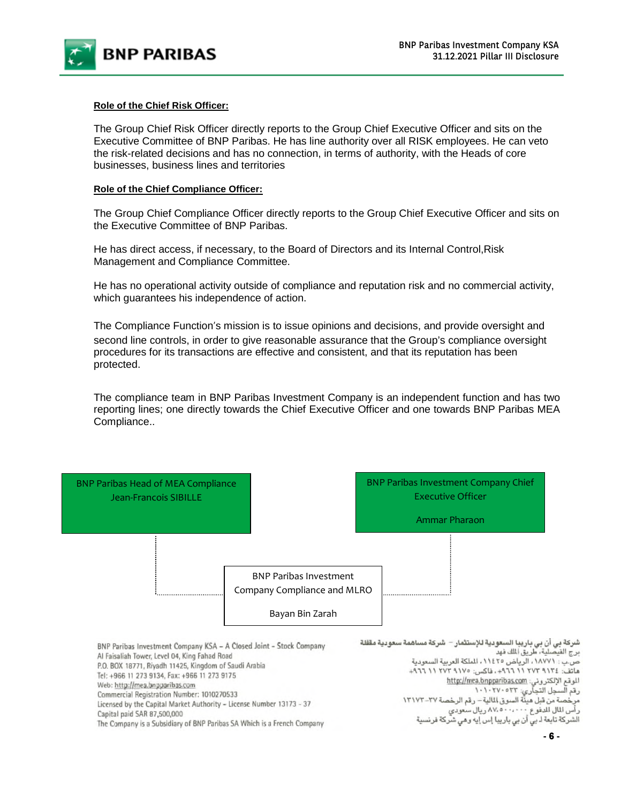

#### **Role of the Chief Risk Officer:**

The Group Chief Risk Officer directly reports to the Group Chief Executive Officer and sits on the Executive Committee of BNP Paribas. He has line authority over all RISK employees. He can veto the risk-related decisions and has no connection, in terms of authority, with the Heads of core businesses, business lines and territories

#### **Role of the Chief Compliance Officer:**

The Group Chief Compliance Officer directly reports to the Group Chief Executive Officer and sits on the Executive Committee of BNP Paribas.

He has direct access, if necessary, to the Board of Directors and its Internal Control,Risk Management and Compliance Committee.

He has no operational activity outside of compliance and reputation risk and no commercial activity, which guarantees his independence of action.

The Compliance Function's mission is to issue opinions and decisions, and provide oversight and second line controls, in order to give reasonable assurance that the Group's compliance oversight procedures for its transactions are effective and consistent, and that its reputation has been protected.

The compliance team in BNP Paribas Investment Company is an independent function and has two reporting lines; one directly towards the Chief Executive Officer and one towards BNP Paribas MEA Compliance..

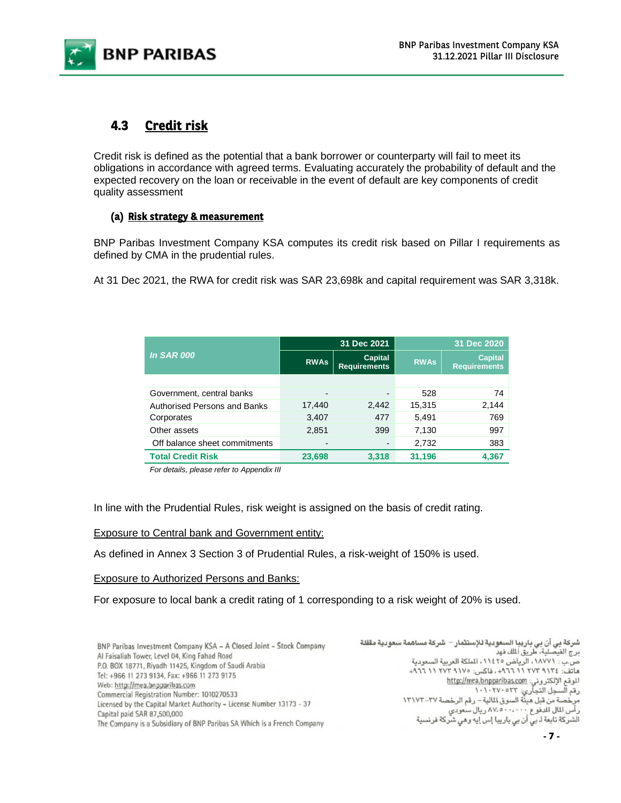

### **4.3 Credit risk**

Credit risk is defined as the potential that a bank borrower or counterparty will fail to meet its obligations in accordance with agreed terms. Evaluating accurately the probability of default and the expected recovery on the loan or receivable in the event of default are key components of credit quality assessment

### **(a) Risk strategy & measurement**

BNP Paribas Investment Company KSA computes its credit risk based on Pillar I requirements as defined by CMA in the prudential rules.

At 31 Dec 2021, the RWA for credit risk was SAR 23,698k and capital requirement was SAR 3,318k.

|                                     |                          | 31 Dec 2021                    | 31 Dec 2020 |                                       |
|-------------------------------------|--------------------------|--------------------------------|-------------|---------------------------------------|
| <b>In SAR 000</b>                   | <b>RWAs</b>              | Capital<br><b>Requirements</b> | <b>RWAs</b> | <b>Capital</b><br><b>Requirements</b> |
|                                     |                          |                                |             |                                       |
| Government, central banks           | $\overline{\phantom{0}}$ | $\overline{\phantom{a}}$       | 528         | 74                                    |
| <b>Authorised Persons and Banks</b> | 17,440                   | 2,442                          | 15,315      | 2,144                                 |
| Corporates                          | 3,407                    | 477                            | 5,491       | 769                                   |
| Other assets                        | 2,851                    | 399                            | 7,130       | 997                                   |
| Off balance sheet commitments       |                          | $\overline{\phantom{a}}$       | 2,732       | 383                                   |
| <b>Total Credit Risk</b>            | 23,698                   | 3.318                          | 31,196      | 4.367                                 |

*For details, please refer to Appendix III* 

In line with the Prudential Rules, risk weight is assigned on the basis of credit rating.

#### Exposure to Central bank and Government entity:

As defined in Annex 3 Section 3 of Prudential Rules, a risk-weight of 150% is used.

#### Exposure to Authorized Persons and Banks:

For exposure to local bank a credit rating of 1 corresponding to a risk weight of 20% is used.

| Al Faisaliah Tower, Level 04, King Fahad Road<br>P.O. BOX 18771, Riyadh 11425, Kingdom of Saudi Arabia<br>Tel: +966 11 273 9134, Fax: +966 11 273 9175<br>Web: http://mea.bnpparibas.com<br>Commercial Registration Number: 1010270533<br>Licensed by the Capital Market Authority - License Number 13173 - 37<br>Capital paid SAR 87,500,000<br>The Company is a Subsidiary of BNP Paribas SA Which is a French Company | هاتف: ١٢٧٤ ٢٧٢ ١١ ٦٦٦+، فاكس: ١٧٧٥ ٢٧٢ ١١ ٦٦٦+<br>الموقع الإلكتروني: http://mea.bnpparibas.com<br>رقع السجل التجارى: ١٠١٠٢٧٠٥٣٣<br>مرخصة من قبل هيئة السوق المالية – رقم الرخصة ٢٧-١٣١٧٢<br>رأس المال المدفوع ٨٧.٥٠٠،٠٠٠ ريال سعودي<br>الشركة تابعة لـ بي أن بي باريبا إس إيه وهي شركة فرنسية |
|--------------------------------------------------------------------------------------------------------------------------------------------------------------------------------------------------------------------------------------------------------------------------------------------------------------------------------------------------------------------------------------------------------------------------|-----------------------------------------------------------------------------------------------------------------------------------------------------------------------------------------------------------------------------------------------------------------------------------------------|
|--------------------------------------------------------------------------------------------------------------------------------------------------------------------------------------------------------------------------------------------------------------------------------------------------------------------------------------------------------------------------------------------------------------------------|-----------------------------------------------------------------------------------------------------------------------------------------------------------------------------------------------------------------------------------------------------------------------------------------------|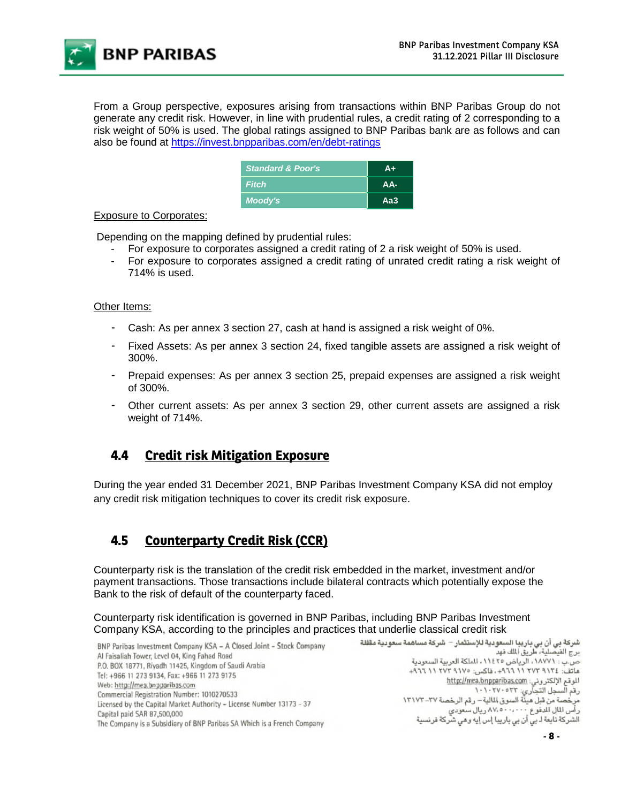**BNP PARIBAS** 

From a Group perspective, exposures arising from transactions within BNP Paribas Group do not generate any credit risk. However, in line with prudential rules, a credit rating of 2 corresponding to a risk weight of 50% is used. The global ratings assigned to BNP Paribas bank are as follows and can also be found at https://invest.bnpparibas.com/en/debt-ratings

| <b>Standard &amp; Poor's</b> | Δ÷    |
|------------------------------|-------|
| <b>Fitch</b>                 | $AA-$ |
| Moody's                      | Aa3   |

#### Exposure to Corporates:

Depending on the mapping defined by prudential rules:

- For exposure to corporates assigned a credit rating of 2 a risk weight of 50% is used.
- For exposure to corporates assigned a credit rating of unrated credit rating a risk weight of 714% is used.

#### Other Items:

- Cash: As per annex 3 section 27, cash at hand is assigned a risk weight of 0%.
- Fixed Assets: As per annex 3 section 24, fixed tangible assets are assigned a risk weight of 300%.
- Prepaid expenses: As per annex 3 section 25, prepaid expenses are assigned a risk weight of 300%.
- Other current assets: As per annex 3 section 29, other current assets are assigned a risk weight of 714%.

### **4.4 Credit risk Mitigation Exposure**

During the year ended 31 December 2021, BNP Paribas Investment Company KSA did not employ any credit risk mitigation techniques to cover its credit risk exposure.

### **4.5 Counterparty Credit Risk (CCR)**

Counterparty risk is the translation of the credit risk embedded in the market, investment and/or payment transactions. Those transactions include bilateral contracts which potentially expose the Bank to the risk of default of the counterparty faced.

Counterparty risk identification is governed in BNP Paribas, including BNP Paribas Investment Company KSA, according to the principles and practices that underlie classical credit risk<br>شركة بي أن بي باريبا السعودية للإستثمار – شركة مساهمة سعودية مقفلة السعودية الإستثمار – شركة بي أن بي باريبا السعودية للإستثمار –

BNP Paribas Investment Company KSA - A Closed Joint - Stock Company Al Faisaliah Tower, Level 04, King Fahad Road P.O. BOX 18771, Riyadh 11425, Kingdom of Saudi Arabia Tel: +966 11 273 9134, Fax: +966 11 273 9175 Web: http://mea.bnpparibas.com Commercial Registration Number: 1010270533 Licensed by the Capital Market Authority - License Number 13173 - 37 Capital paid SAR 87,500,000 The Company is a Subsidiary of BNP Paribas SA Which is a French Company

برج الفيصلية، طريق الملك فهد ص.ب : ١٨٧٧١، الرياض ١١٤٢٥، الملكة العربية السعودية هاتف: ١٢٧٤ ٢٧٢ ١١ ١٩٦٦+، فاكس: ١٧٥ ٢٧٢ ١١ ١٩٦٦+ الموقع الإلكتروني: http://mea.bnpparibas.com رقم السجل التجاري: ١٠٢٧٠٥٢٣<br>مرخصة من قبل هيئة السوق المالية – رقم الرخصة ٢٧–١٣١٧٢ رأس المال الدفوع ٨٧،٠٠٠٠٠٠ .<br>الشركة تابعة لـ بي أن بي باريبا إس إيه وهي شركة فرنسية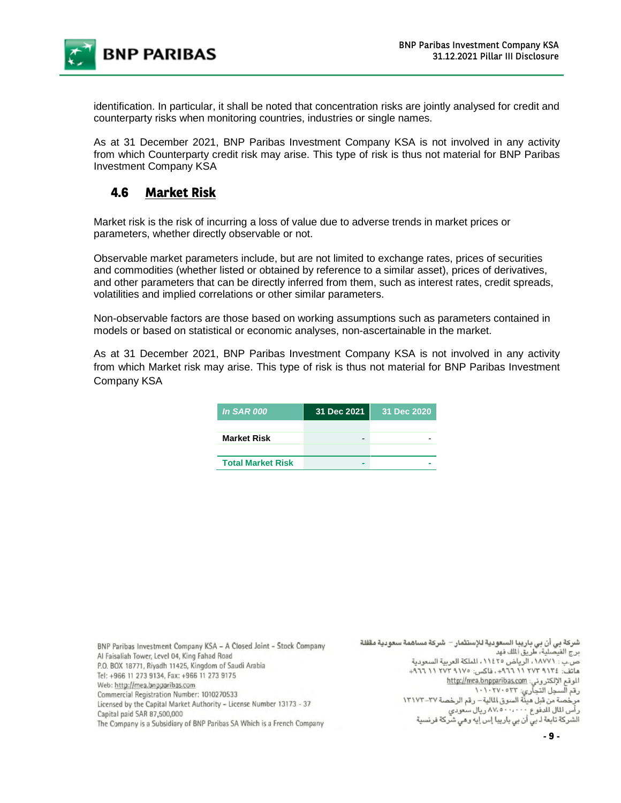

identification. In particular, it shall be noted that concentration risks are jointly analysed for credit and counterparty risks when monitoring countries, industries or single names.

As at 31 December 2021, BNP Paribas Investment Company KSA is not involved in any activity from which Counterparty credit risk may arise. This type of risk is thus not material for BNP Paribas Investment Company KSA

### **4.6 Market Risk**

Market risk is the risk of incurring a loss of value due to adverse trends in market prices or parameters, whether directly observable or not.

Observable market parameters include, but are not limited to exchange rates, prices of securities and commodities (whether listed or obtained by reference to a similar asset), prices of derivatives, and other parameters that can be directly inferred from them, such as interest rates, credit spreads, volatilities and implied correlations or other similar parameters.

Non-observable factors are those based on working assumptions such as parameters contained in models or based on statistical or economic analyses, non-ascertainable in the market.

As at 31 December 2021, BNP Paribas Investment Company KSA is not involved in any activity from which Market risk may arise. This type of risk is thus not material for BNP Paribas Investment Company KSA

| <b>In SAR 000</b>        | 31 Dec 2021 | 31 Dec 2020 |
|--------------------------|-------------|-------------|
|                          |             |             |
| <b>Market Risk</b>       |             |             |
|                          |             |             |
| <b>Total Market Risk</b> |             |             |
|                          |             |             |

| BNP Paribas Investment Company KSA - A Closed Joint - Stock Company     | سُركة بي أن بي باريبا السعودية للإستثمار – شركة مساهمة سعودية مقفلة |
|-------------------------------------------------------------------------|---------------------------------------------------------------------|
| Al Faisaliah Tower, Level 04, King Fahad Road                           | رج الفيصلية، طريق الملك فهد                                         |
| P.O. BOX 18771, Riyadh 11425, Kingdom of Saudi Arabia                   | ص.ب : ١٨٧٧١، الرياض ١١٤٢٥، الملكة العربية السعودية                  |
| Tel: +966 11 273 9134, Fax: +966 11 273 9175                            | ىاتف: ٢٧٣ ٩١٢ ٢٧٢ ١١ ٩٦٦+، فاكس: ١٧٧٥ ٢٧٣ ١١ ٩٦٦+                   |
| Web: http://mea.bnpparibas.com                                          | http://mea.bnpparibas.com . الموقع الإلكتروني:                      |
| Commercial Registration Number: 1010270533                              | يقم السجل التجارى: ١٠١٠٢٧٠٥٣٣                                       |
| Licensed by the Capital Market Authority - License Number 13173 - 37    | برخصة من قبل ميئة السوق المالية – رقم الرخصة ٢٧-١٣١٧٢               |
| Capital paid SAR 87,500,000                                             | رأس المال المدفوع ٨٧،٥٠٠،٠٠٠ ريال سعودي                             |
| The Company is a Subsidiary of BNP Paribas SA Which is a French Company | لشركة تابعة لـ بي أن بي باريبا إس إيه وهي شركة فرنسية               |
|                                                                         |                                                                     |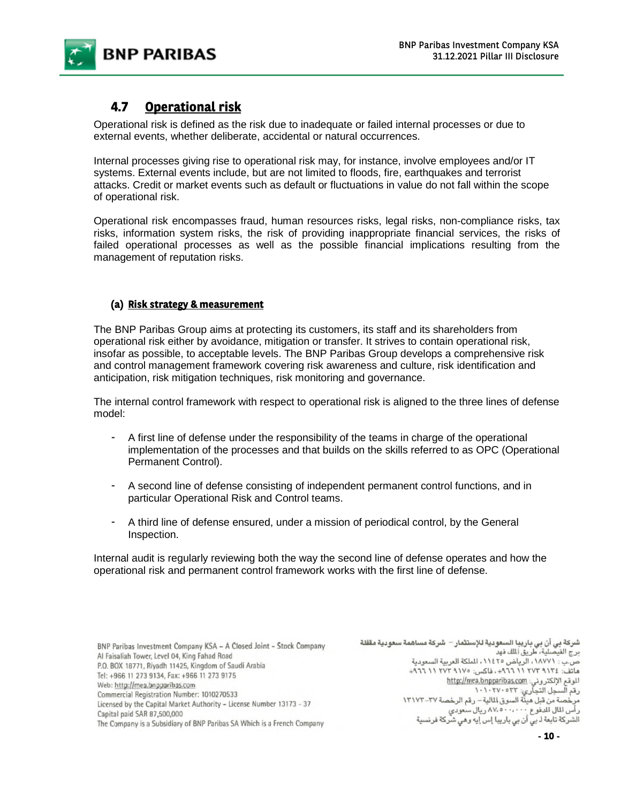

### **4.7 Operational risk**

Operational risk is defined as the risk due to inadequate or failed internal processes or due to external events, whether deliberate, accidental or natural occurrences.

Internal processes giving rise to operational risk may, for instance, involve employees and/or IT systems. External events include, but are not limited to floods, fire, earthquakes and terrorist attacks. Credit or market events such as default or fluctuations in value do not fall within the scope of operational risk.

Operational risk encompasses fraud, human resources risks, legal risks, non-compliance risks, tax risks, information system risks, the risk of providing inappropriate financial services, the risks of failed operational processes as well as the possible financial implications resulting from the management of reputation risks.

### **(a) Risk strategy & measurement**

The BNP Paribas Group aims at protecting its customers, its staff and its shareholders from operational risk either by avoidance, mitigation or transfer. It strives to contain operational risk, insofar as possible, to acceptable levels. The BNP Paribas Group develops a comprehensive risk and control management framework covering risk awareness and culture, risk identification and anticipation, risk mitigation techniques, risk monitoring and governance.

The internal control framework with respect to operational risk is aligned to the three lines of defense model:

- A first line of defense under the responsibility of the teams in charge of the operational implementation of the processes and that builds on the skills referred to as OPC (Operational Permanent Control).
- A second line of defense consisting of independent permanent control functions, and in particular Operational Risk and Control teams.
- A third line of defense ensured, under a mission of periodical control, by the General Inspection.

Internal audit is regularly reviewing both the way the second line of defense operates and how the operational risk and permanent control framework works with the first line of defense.

BNP Paribas Investment Company KSA - A Closed Joint - Stock Company Al Faisaliah Tower, Level 04, King Fahad Road P.O. BOX 18771, Riyadh 11425, Kingdom of Saudi Arabia Tel: +966 11 273 9134, Fax: +966 11 273 9175 Web: http://mea.bnpparibas.com Commercial Registration Number: 1010270533 Licensed by the Capital Market Authority - License Number 13173 - 37 Capital paid SAR 87,500,000 The Company is a Subsidiary of BNP Paribas SA Which is a French Company

شركة بي أن بي باريبا السعودية للإستثمار – شركة مساهمة سعودية مقفلة برج الفيصلية، طريق الملك فهد ص.ب : ١٨٧٧١، الرياض ١١٤٢٥، الملكة العربية السعودية هاتف: ٢٧٢ ٢٧٢ ١١ ٢٧٦+، فاكس: ٢٧٧ ٢٧٢ ١١ ٢٧٦+ الموقع الإلكتروني: http://mea.bnpparibas.com رقم السجل التجاري: ١٠٢٧٠٥٢٣<br>مرخصة من قبل هيئة السوق المالية – رقم الرخصة ٢٧–١٣١٧٢ رأس المال للدفوع ٨٧،٥٠٠،٠٠٠ ريال سعودي الشركة تابعة لـ بي أن بي باريبا إس إيه وهي شركة فرنسية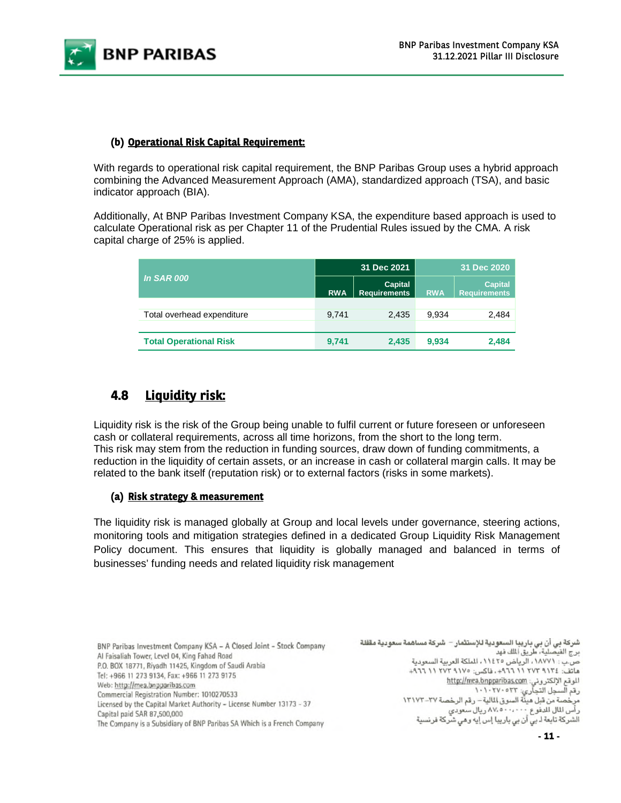

### **(b) Operational Risk Capital Requirement:**

With regards to operational risk capital requirement, the BNP Paribas Group uses a hybrid approach combining the Advanced Measurement Approach (AMA), standardized approach (TSA), and basic indicator approach (BIA).

Additionally, At BNP Paribas Investment Company KSA, the expenditure based approach is used to calculate Operational risk as per Chapter 11 of the Prudential Rules issued by the CMA. A risk capital charge of 25% is applied.

|                               |            | 31 Dec 2021                           | 31 Dec 2020 |                                       |  |
|-------------------------------|------------|---------------------------------------|-------------|---------------------------------------|--|
| <b>In SAR 000</b>             | <b>RWA</b> | <b>Capital</b><br><b>Requirements</b> | <b>RWA</b>  | <b>Capital</b><br><b>Requirements</b> |  |
|                               |            |                                       |             |                                       |  |
| Total overhead expenditure    | 9.741      | 2.435                                 | 9.934       | 2,484                                 |  |
|                               |            |                                       |             |                                       |  |
| <b>Total Operational Risk</b> | 9,741      | 2.435                                 | 9,934       | 2,484                                 |  |

### **4.8 Liquidity risk:**

Liquidity risk is the risk of the Group being unable to fulfil current or future foreseen or unforeseen cash or collateral requirements, across all time horizons, from the short to the long term. This risk may stem from the reduction in funding sources, draw down of funding commitments, a reduction in the liquidity of certain assets, or an increase in cash or collateral margin calls. It may be related to the bank itself (reputation risk) or to external factors (risks in some markets).

#### **(a) Risk strategy & measurement**

The liquidity risk is managed globally at Group and local levels under governance, steering actions, monitoring tools and mitigation strategies defined in a dedicated Group Liquidity Risk Management Policy document. This ensures that liquidity is globally managed and balanced in terms of businesses' funding needs and related liquidity risk management

| BNP Paribas Investment Company KSA – A Closed Joint – Stock Company                                                                                                                                                          | نثمار – شركة مساهمة سعودية مققلة                   |
|------------------------------------------------------------------------------------------------------------------------------------------------------------------------------------------------------------------------------|----------------------------------------------------|
| Al Faisaliah Tower, Level 04, King Fahad Road<br>P.O. BOX 18771, Riyadh 11425, Kingdom of Saudi Arabia<br>Tel: +966 11 273 9134, Fax: +966 11 273 9175<br>Web: http://mea.bnpparibas.com                                     | كة العربية السعودية<br>$+97711174741V4$<br>http:// |
| Commercial Registration Number: 1010270533<br>Licensed by the Capital Market Authority - License Number 13173 - 37<br>Capital paid SAR 87,500,000<br>The Company is a Subsidiary of BNP Paribas SA Which is a French Company | م الرخصة ٢٧-١٣١٧٢<br>معودي<br>مي شركة فرنسية       |

شركة بي أن بي باريبا السعودية للإست<br>برج الفيصلية، طريق الملك فهد ص.ب : ١٨٧٧١ ، الرياض ٢٥ ١١٤٢ ، الملا هاتف: ٢٧٢ ٢٧٢ ١١ ٩٦٦٩+. فاكس: ٥ الموقع الإلكتروني: <u>mea,bnpparibas.com</u> رقم السجل التجآري: ١٠١٠٢٧٠٥٢٣<br>مرخصة من قبل ميئة السوق المالية – رقع ر أس المال للدفوع ٨٧،٥٠٠،٠٠٠ ريال س الشركة تابعة لـ بي أن بي باريبا إس إيه و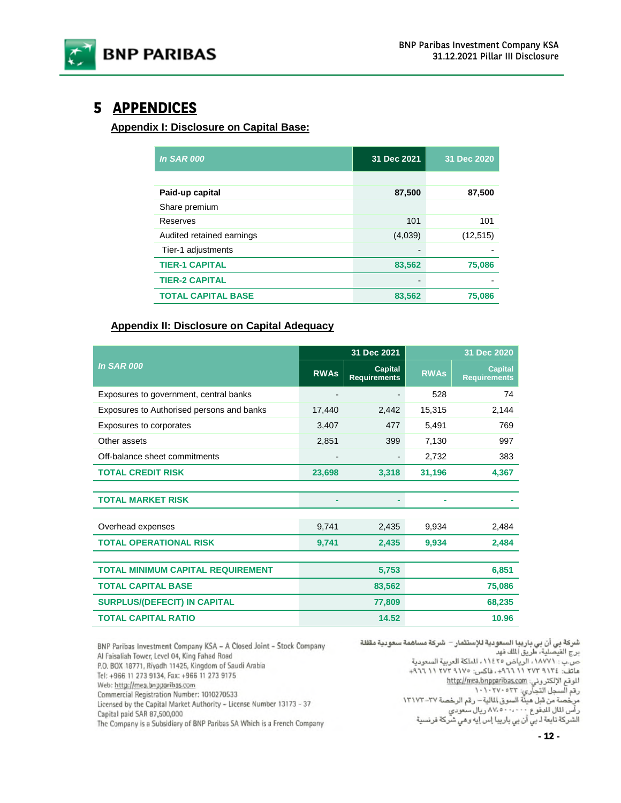

# **5 APPENDICES**

**Appendix I: Disclosure on Capital Base:** 

| <b>In SAR 000</b>         | 31 Dec 2021 | 31 Dec 2020 |
|---------------------------|-------------|-------------|
|                           |             |             |
| Paid-up capital           | 87,500      | 87,500      |
| Share premium             |             |             |
| Reserves                  | 101         | 101         |
| Audited retained earnings | (4,039)     | (12, 515)   |
| Tier-1 adjustments        |             |             |
| <b>TIER-1 CAPITAL</b>     | 83,562      | 75,086      |
| <b>TIER-2 CAPITAL</b>     |             |             |
| <b>TOTAL CAPITAL BASE</b> | 83,562      | 75,086      |

#### **Appendix II: Disclosure on Capital Adequacy**

|                                           |             | 31 Dec 2021                           | 31 Dec 2020 |                                       |  |
|-------------------------------------------|-------------|---------------------------------------|-------------|---------------------------------------|--|
| <b>In SAR 000</b>                         | <b>RWAs</b> | <b>Capital</b><br><b>Requirements</b> | <b>RWAs</b> | <b>Capital</b><br><b>Requirements</b> |  |
| Exposures to government, central banks    |             |                                       | 528         | 74                                    |  |
| Exposures to Authorised persons and banks | 17,440      | 2,442                                 | 15,315      | 2,144                                 |  |
| Exposures to corporates                   | 3,407       | 477                                   | 5,491       | 769                                   |  |
| Other assets                              | 2,851       | 399                                   | 7,130       | 997                                   |  |
| Off-balance sheet commitments             |             |                                       | 2,732       | 383                                   |  |
| <b>TOTAL CREDIT RISK</b>                  | 23,698      | 3,318                                 | 31,196      | 4,367                                 |  |
|                                           |             |                                       |             |                                       |  |
| <b>TOTAL MARKET RISK</b>                  |             |                                       |             |                                       |  |
|                                           |             |                                       |             |                                       |  |
| Overhead expenses                         | 9,741       | 2,435                                 | 9,934       | 2,484                                 |  |
| <b>TOTAL OPERATIONAL RISK</b>             | 9,741       | 2,435                                 | 9,934       | 2,484                                 |  |
|                                           |             |                                       |             |                                       |  |
| <b>TOTAL MINIMUM CAPITAL REQUIREMENT</b>  |             | 5,753                                 |             | 6,851                                 |  |
| <b>TOTAL CAPITAL BASE</b>                 |             | 83,562                                |             | 75,086                                |  |
| <b>SURPLUS/(DEFECIT) IN CAPITAL</b>       |             | 77,809                                |             | 68,235                                |  |
| <b>TOTAL CAPITAL RATIO</b>                |             | 14.52                                 |             | 10.96                                 |  |

BNP Paribas Investment Company KSA - A Closed Joint - Stock Company Al Faisaliah Tower, Level 04, King Fahad Road P.O. BOX 18771, Riyadh 11425, Kingdom of Saudi Arabia Tel: +966 11 273 9134, Fax: +966 11 273 9175 Web: http://mea.bnpparibas.com Commercial Registration Number: 1010270533 Licensed by the Capital Market Authority - License Number 13173 - 37 Capital paid SAR 87,500,000 The Company is a Subsidiary of BNP Paribas SA Which is a French Company

شركة بي أن بي باريبا السعودية للإستثمار – شركة مساهمة سعودية مقفلة<br>برج الفيصلية، طريق المك فهد ص.ب : ١٨٧٧١، الرياض ١١٤٢٥، الملكة العربية السعودية ماتف: ٢٧٢ ٢١٢ ٢٧٢ ١١ ٩٦٦ - فاكس: ١٧٥ ٢٧٢ ١١ ٩٦٦ + الموقع الإلكتروني: http://mea.bnpparibas.com سي سي سي التجاري: ١٠٠٢٧٠٥٢٣<br>رقم السجل التجاري: ١٠٠٢٧٠٥٣٣ - رقم الرخصة ٢٧-١٣١٧٢<br>مرخصة من قبل هيئة السوق المالية – رقم الرخصة ٢٧-١٣١٧٢<br>رأس المال للدفوع ٠٠٠٠٠٠٠ ريال سعودي